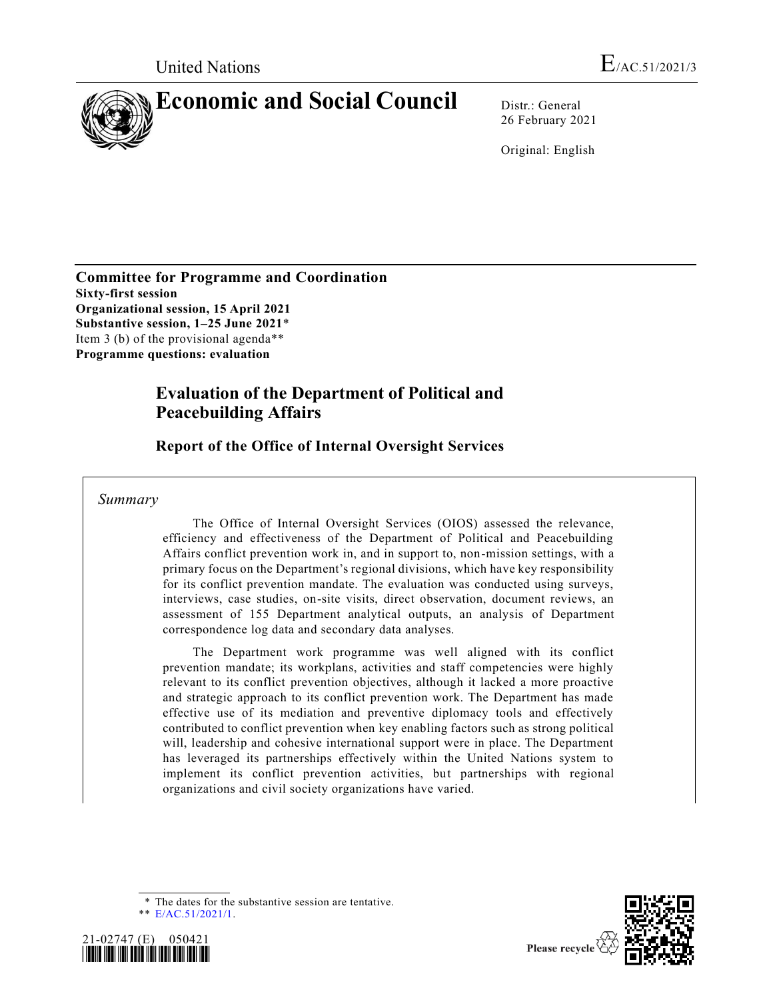

26 February 2021

Original: English

**Committee for Programme and Coordination Sixty-first session Organizational session, 15 April 2021 Substantive session, 1–25 June 2021**\* Item 3 (b) of the provisional agenda\*\* **Programme questions: evaluation**

# **Evaluation of the Department of Political and Peacebuilding Affairs**

**Report of the Office of Internal Oversight Services**

*Summary*

The Office of Internal Oversight Services (OIOS) assessed the relevance, efficiency and effectiveness of the Department of Political and Peacebuilding Affairs conflict prevention work in, and in support to, non-mission settings, with a primary focus on the Department's regional divisions, which have key responsibility for its conflict prevention mandate. The evaluation was conducted using surveys, interviews, case studies, on-site visits, direct observation, document reviews, an assessment of 155 Department analytical outputs, an analysis of Department correspondence log data and secondary data analyses.

The Department work programme was well aligned with its conflict prevention mandate; its workplans, activities and staff competencies were highly relevant to its conflict prevention objectives, although it lacked a more proactive and strategic approach to its conflict prevention work. The Department has made effective use of its mediation and preventive diplomacy tools and effectively contributed to conflict prevention when key enabling factors such as strong political will, leadership and cohesive international support were in place. The Department has leveraged its partnerships effectively within the United Nations system to implement its conflict prevention activities, but partnerships with regional organizations and civil society organizations have varied.

\* The dates for the substantive session are tentative.

\*\* [E/AC.51/2021/1.](https://undocs.org/en/E/AC.51/2021/1)





Please recycle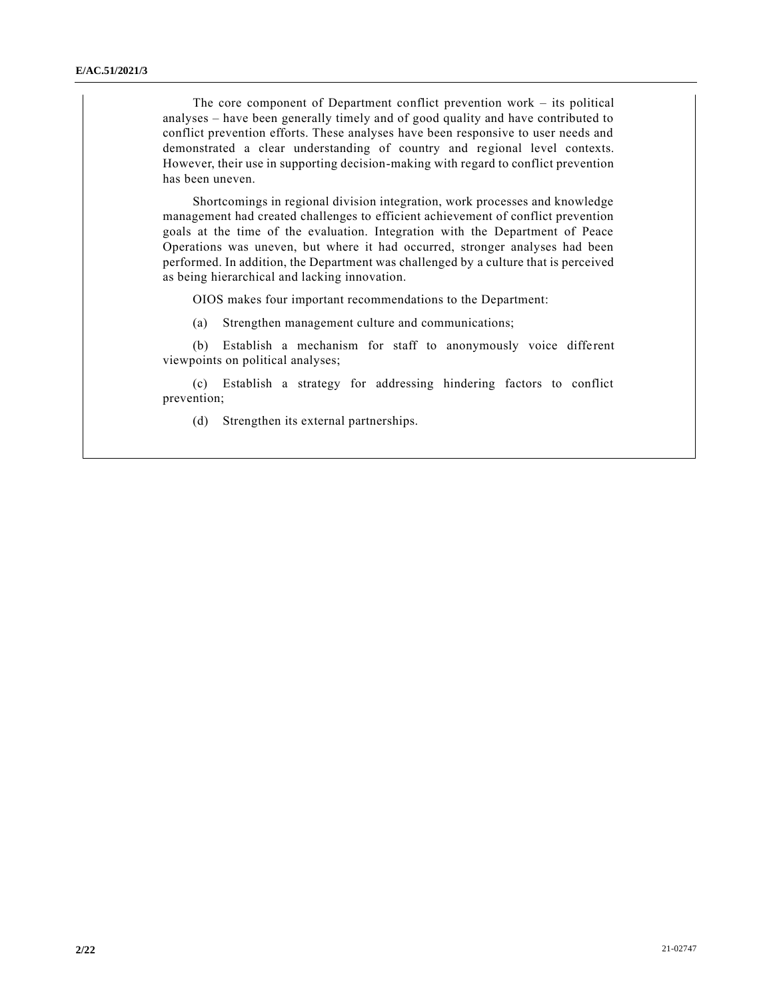The core component of Department conflict prevention work – its political analyses – have been generally timely and of good quality and have contributed to conflict prevention efforts. These analyses have been responsive to user needs and demonstrated a clear understanding of country and regional level contexts. However, their use in supporting decision-making with regard to conflict prevention has been uneven.

Shortcomings in regional division integration, work processes and knowledge management had created challenges to efficient achievement of conflict prevention goals at the time of the evaluation. Integration with the Department of Peace Operations was uneven, but where it had occurred, stronger analyses had been performed. In addition, the Department was challenged by a culture that is perceived as being hierarchical and lacking innovation.

OIOS makes four important recommendations to the Department:

(a) Strengthen management culture and communications;

(b) Establish a mechanism for staff to anonymously voice different viewpoints on political analyses;

(c) Establish a strategy for addressing hindering factors to conflict prevention;

(d) Strengthen its external partnerships.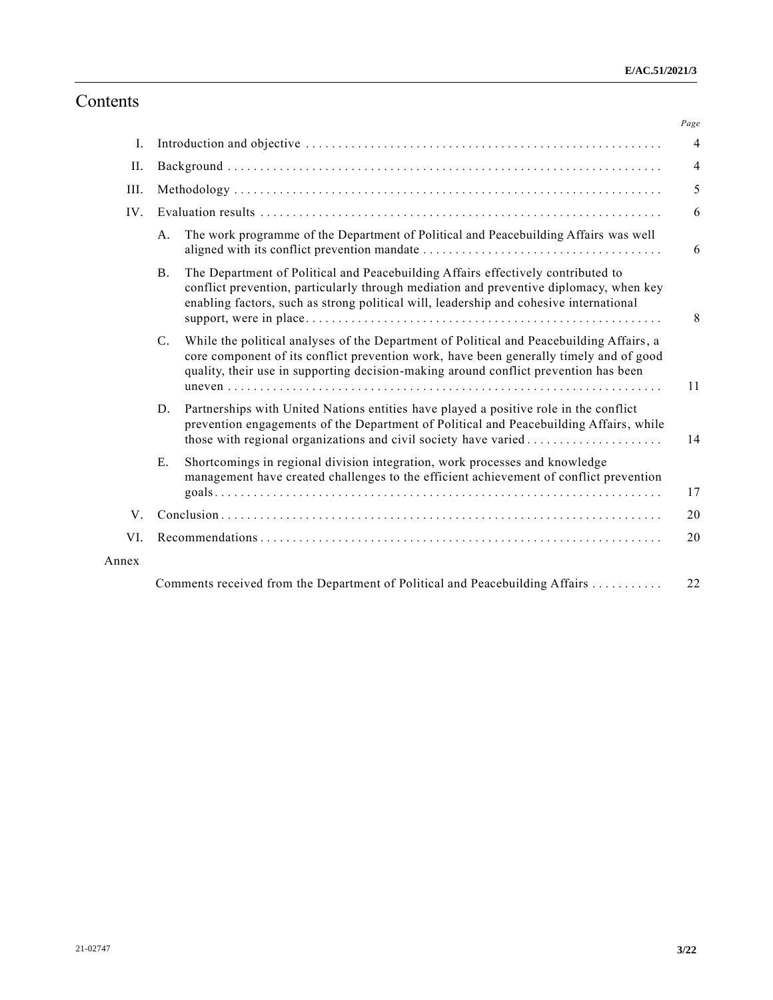# Contents

|       |                 |                                                                                                                                                                                                                                                                            | Page           |
|-------|-----------------|----------------------------------------------------------------------------------------------------------------------------------------------------------------------------------------------------------------------------------------------------------------------------|----------------|
| Ι.    |                 |                                                                                                                                                                                                                                                                            | $\overline{4}$ |
| II.   |                 |                                                                                                                                                                                                                                                                            | $\overline{4}$ |
| III.  |                 |                                                                                                                                                                                                                                                                            | 5              |
| IV.   |                 |                                                                                                                                                                                                                                                                            | 6              |
|       | A.              | The work programme of the Department of Political and Peacebuilding Affairs was well                                                                                                                                                                                       | 6              |
|       | Β.              | The Department of Political and Peacebuilding Affairs effectively contributed to<br>conflict prevention, particularly through mediation and preventive diplomacy, when key<br>enabling factors, such as strong political will, leadership and cohesive international       | 8              |
|       | $\mathcal{C}$ . | While the political analyses of the Department of Political and Peacebuilding Affairs, a<br>core component of its conflict prevention work, have been generally timely and of good<br>quality, their use in supporting decision-making around conflict prevention has been | 11             |
|       | D.              | Partnerships with United Nations entities have played a positive role in the conflict<br>prevention engagements of the Department of Political and Peacebuilding Affairs, while<br>those with regional organizations and civil society have varied                         | 14             |
|       | E.              | Shortcomings in regional division integration, work processes and knowledge<br>management have created challenges to the efficient achievement of conflict prevention                                                                                                      | 17             |
| V.    |                 |                                                                                                                                                                                                                                                                            |                |
| VI.   |                 |                                                                                                                                                                                                                                                                            |                |
| Annex |                 |                                                                                                                                                                                                                                                                            |                |
|       |                 | Comments received from the Department of Political and Peacebuilding Affairs                                                                                                                                                                                               | 22             |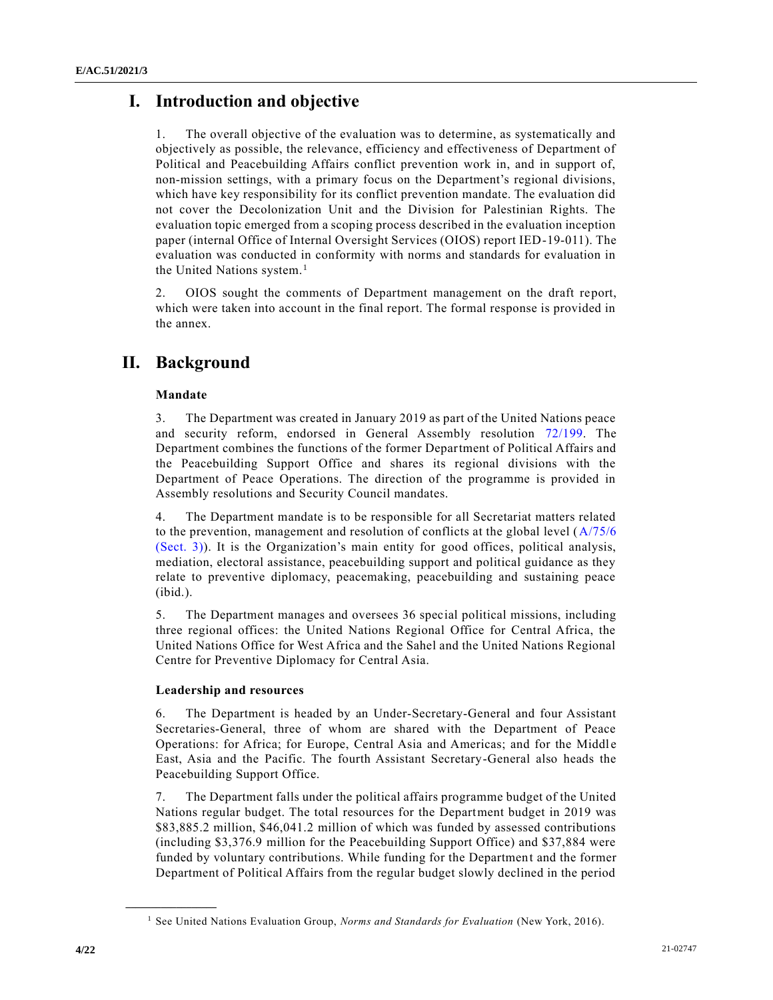# **I. Introduction and objective**

1. The overall objective of the evaluation was to determine, as systematically and objectively as possible, the relevance, efficiency and effectiveness of Department of Political and Peacebuilding Affairs conflict prevention work in, and in support of, non-mission settings, with a primary focus on the Department's regional divisions, which have key responsibility for its conflict prevention mandate. The evaluation did not cover the Decolonization Unit and the Division for Palestinian Rights. The evaluation topic emerged from a scoping process described in the evaluation inception paper (internal Office of Internal Oversight Services (OIOS) report IED-19-011). The evaluation was conducted in conformity with norms and standards for evaluation in the United Nations system.<sup>1</sup>

2. OIOS sought the comments of Department management on the draft report, which were taken into account in the final report. The formal response is provided in the annex.

# **II. Background**

### **Mandate**

3. The Department was created in January 2019 as part of the United Nations peace and security reform, endorsed in General Assembly resolution [72/199.](https://undocs.org/en/A/RES/72/199) The Department combines the functions of the former Department of Political Affairs and the Peacebuilding Support Office and shares its regional divisions with the Department of Peace Operations. The direction of the programme is provided in Assembly resolutions and Security Council mandates.

4. The Department mandate is to be responsible for all Secretariat matters related to the prevention, management and resolution of conflicts at the global level [\(A/75/6](https://undocs.org/en/A/75/6(Sect.3))  [\(Sect. 3\)\)](https://undocs.org/en/A/75/6(Sect.3)). It is the Organization's main entity for good offices, political analysis, mediation, electoral assistance, peacebuilding support and political guidance as they relate to preventive diplomacy, peacemaking, peacebuilding and sustaining peace (ibid.).

5. The Department manages and oversees 36 special political missions, including three regional offices: the United Nations Regional Office for Central Africa, the United Nations Office for West Africa and the Sahel and the United Nations Regional Centre for Preventive Diplomacy for Central Asia.

#### **Leadership and resources**

6. The Department is headed by an Under-Secretary-General and four Assistant Secretaries-General, three of whom are shared with the Department of Peace Operations: for Africa; for Europe, Central Asia and Americas; and for the Middle East, Asia and the Pacific. The fourth Assistant Secretary-General also heads the Peacebuilding Support Office.

7. The Department falls under the political affairs programme budget of the United Nations regular budget. The total resources for the Department budget in 2019 was \$83,885.2 million, \$46,041.2 million of which was funded by assessed contributions (including \$3,376.9 million for the Peacebuilding Support Office) and \$37,884 were funded by voluntary contributions. While funding for the Department and the former Department of Political Affairs from the regular budget slowly declined in the period

<sup>1</sup> See United Nations Evaluation Group, *Norms and Standards for Evaluation* (New York, 2016).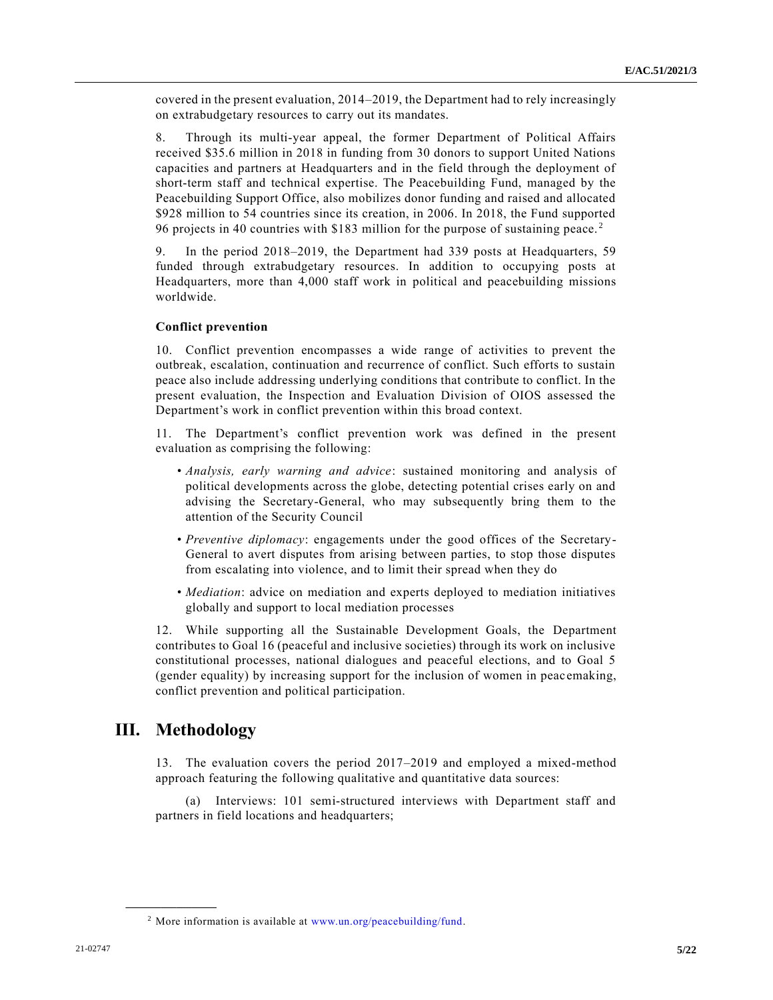covered in the present evaluation, 2014–2019, the Department had to rely increasingly on extrabudgetary resources to carry out its mandates.

8. Through its multi-year appeal, the former Department of Political Affairs received \$35.6 million in 2018 in funding from 30 donors to support United Nations capacities and partners at Headquarters and in the field through the deployment of short-term staff and technical expertise. The Peacebuilding Fund, managed by the Peacebuilding Support Office, also mobilizes donor funding and raised and allocated \$928 million to 54 countries since its creation, in 2006. In 2018, the Fund supported 96 projects in 40 countries with \$183 million for the purpose of sustaining peace. <sup>2</sup>

9. In the period 2018–2019, the Department had 339 posts at Headquarters, 59 funded through extrabudgetary resources. In addition to occupying posts at Headquarters, more than 4,000 staff work in political and peacebuilding missions worldwide.

#### **Conflict prevention**

10. Conflict prevention encompasses a wide range of activities to prevent the outbreak, escalation, continuation and recurrence of conflict. Such efforts to sustain peace also include addressing underlying conditions that contribute to conflict. In the present evaluation, the Inspection and Evaluation Division of OIOS assessed the Department's work in conflict prevention within this broad context.

11. The Department's conflict prevention work was defined in the present evaluation as comprising the following:

- *Analysis, early warning and advice*: sustained monitoring and analysis of political developments across the globe, detecting potential crises early on and advising the Secretary-General, who may subsequently bring them to the attention of the Security Council
- *Preventive diplomacy*: engagements under the good offices of the Secretary-General to avert disputes from arising between parties, to stop those disputes from escalating into violence, and to limit their spread when they do
- *Mediation*: advice on mediation and experts deployed to mediation initiatives globally and support to local mediation processes

12. While supporting all the Sustainable Development Goals, the Department contributes to Goal 16 (peaceful and inclusive societies) through its work on inclusive constitutional processes, national dialogues and peaceful elections, and to Goal 5 (gender equality) by increasing support for the inclusion of women in peac emaking, conflict prevention and political participation.

## **III. Methodology**

**\_\_\_\_\_\_\_\_\_\_\_\_\_\_\_\_\_\_**

13. The evaluation covers the period 2017–2019 and employed a mixed-method approach featuring the following qualitative and quantitative data sources:

(a) Interviews: 101 semi-structured interviews with Department staff and partners in field locations and headquarters;

<sup>2</sup> More information is available at [www.un.org/peacebuilding/fund.](file:///C:/Users/carla.mavrodin/Downloads/www.un.org/peacebuilding/fund)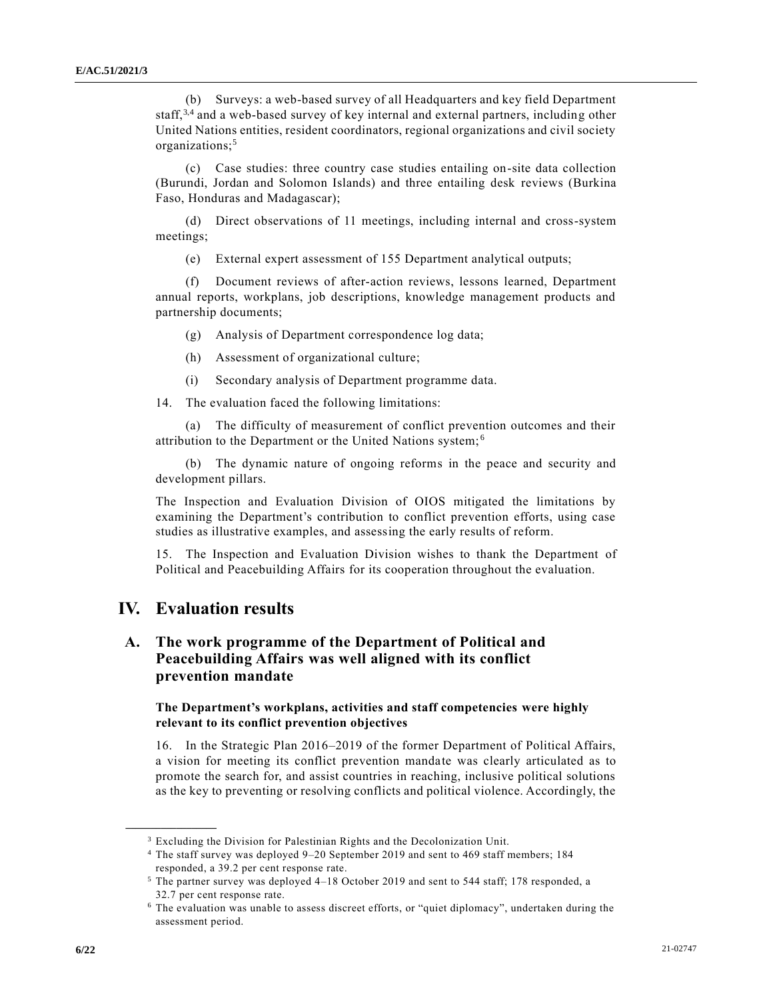(b) Surveys: a web-based survey of all Headquarters and key field Department staff,<sup>3,4</sup> and a web-based survey of key internal and external partners, including other United Nations entities, resident coordinators, regional organizations and civil society organizations;<sup>5</sup>

(c) Case studies: three country case studies entailing on-site data collection (Burundi, Jordan and Solomon Islands) and three entailing desk reviews (Burkina Faso, Honduras and Madagascar);

(d) Direct observations of 11 meetings, including internal and cross-system meetings;

(e) External expert assessment of 155 Department analytical outputs;

(f) Document reviews of after-action reviews, lessons learned, Department annual reports, workplans, job descriptions, knowledge management products and partnership documents;

(g) Analysis of Department correspondence log data;

(h) Assessment of organizational culture;

(i) Secondary analysis of Department programme data.

14. The evaluation faced the following limitations:

(a) The difficulty of measurement of conflict prevention outcomes and their attribution to the Department or the United Nations system; <sup>6</sup>

(b) The dynamic nature of ongoing reforms in the peace and security and development pillars.

The Inspection and Evaluation Division of OIOS mitigated the limitations by examining the Department's contribution to conflict prevention efforts, using case studies as illustrative examples, and assessing the early results of reform.

15. The Inspection and Evaluation Division wishes to thank the Department of Political and Peacebuilding Affairs for its cooperation throughout the evaluation.

## **IV. Evaluation results**

**\_\_\_\_\_\_\_\_\_\_\_\_\_\_\_\_\_\_**

## **A. The work programme of the Department of Political and Peacebuilding Affairs was well aligned with its conflict prevention mandate**

#### **The Department's workplans, activities and staff competencies were highly relevant to its conflict prevention objectives**

16. In the Strategic Plan 2016–2019 of the former Department of Political Affairs, a vision for meeting its conflict prevention mandate was clearly articulated as to promote the search for, and assist countries in reaching, inclusive political solutions as the key to preventing or resolving conflicts and political violence. Accordingly, the

<sup>&</sup>lt;sup>3</sup> Excluding the Division for Palestinian Rights and the Decolonization Unit.

<sup>4</sup> The staff survey was deployed 9–20 September 2019 and sent to 469 staff members; 184 responded, a 39.2 per cent response rate.

<sup>5</sup> The partner survey was deployed 4–18 October 2019 and sent to 544 staff; 178 responded, a 32.7 per cent response rate.

<sup>6</sup> The evaluation was unable to assess discreet efforts, or "quiet diplomacy", undertaken during the assessment period.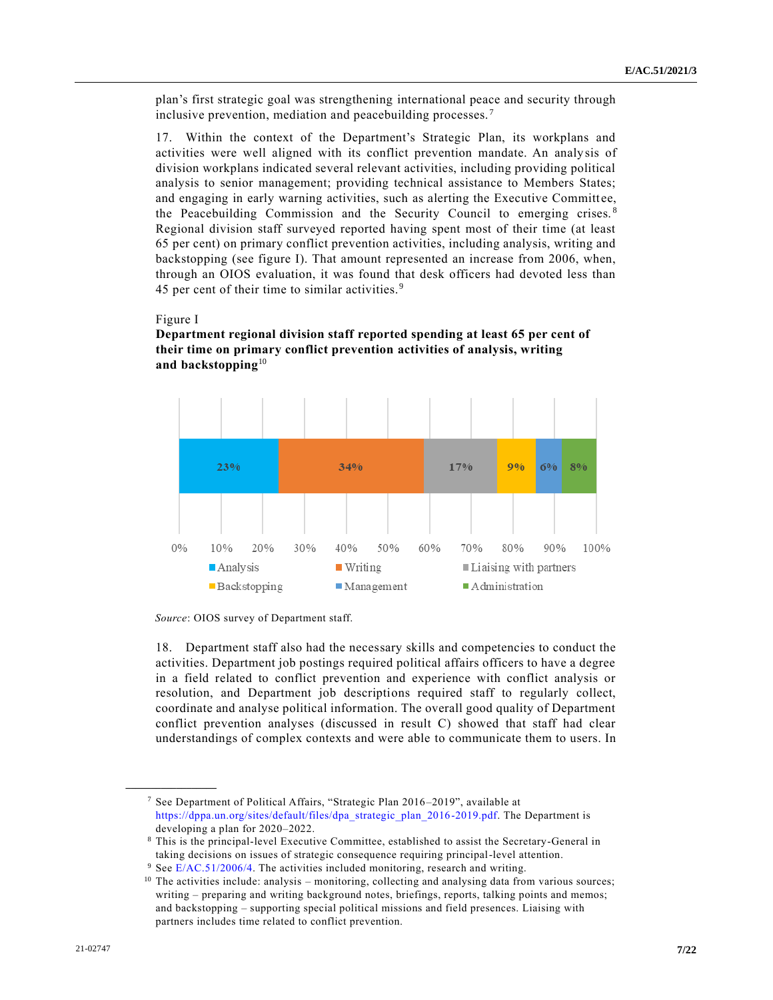plan's first strategic goal was strengthening international peace and security through inclusive prevention, mediation and peacebuilding processes. <sup>7</sup>

17. Within the context of the Department's Strategic Plan, its workplans and activities were well aligned with its conflict prevention mandate. An analy sis of division workplans indicated several relevant activities, including providing political analysis to senior management; providing technical assistance to Members States; and engaging in early warning activities, such as alerting the Executive Committ ee, the Peacebuilding Commission and the Security Council to emerging crises. <sup>8</sup> Regional division staff surveyed reported having spent most of their time (at least 65 per cent) on primary conflict prevention activities, including analysis, writing and backstopping (see figure I). That amount represented an increase from 2006, when, through an OIOS evaluation, it was found that desk officers had devoted less than 45 per cent of their time to similar activities. <sup>9</sup>

#### Figure I

**\_\_\_\_\_\_\_\_\_\_\_\_\_\_\_\_\_\_**



### **Department regional division staff reported spending at least 65 per cent of their time on primary conflict prevention activities of analysis, writing and backstopping**<sup>10</sup>

*Source*: OIOS survey of Department staff.

18. Department staff also had the necessary skills and competencies to conduct the activities. Department job postings required political affairs officers to have a degree in a field related to conflict prevention and experience with conflict analysis or resolution, and Department job descriptions required staff to regularly collect, coordinate and analyse political information. The overall good quality of Department conflict prevention analyses (discussed in result C) showed that staff had clear understandings of complex contexts and were able to communicate them to users. In

<sup>7</sup> See Department of Political Affairs, "Strategic Plan 2016–2019", available at [https://dppa.un.org/sites/default/files/dpa\\_strategic\\_plan\\_2016-2019.pdf.](https://dppa.un.org/sites/default/files/dpa_strategic_plan_2016-2019.pdf) The Department is developing a plan for 2020–2022.

<sup>8</sup> This is the principal-level Executive Committee, established to assist the Secretary-General in taking decisions on issues of strategic consequence requiring principal-level attention.

 $9$  See [E/AC.51/2006/4.](https://undocs.org/en/E/AC.51/2006/4) The activities included monitoring, research and writing.

<sup>&</sup>lt;sup>10</sup> The activities include: analysis – monitoring, collecting and analysing data from various sources; writing – preparing and writing background notes, briefings, reports, talking points and memos; and backstopping – supporting special political missions and field presences. Liaising with partners includes time related to conflict prevention.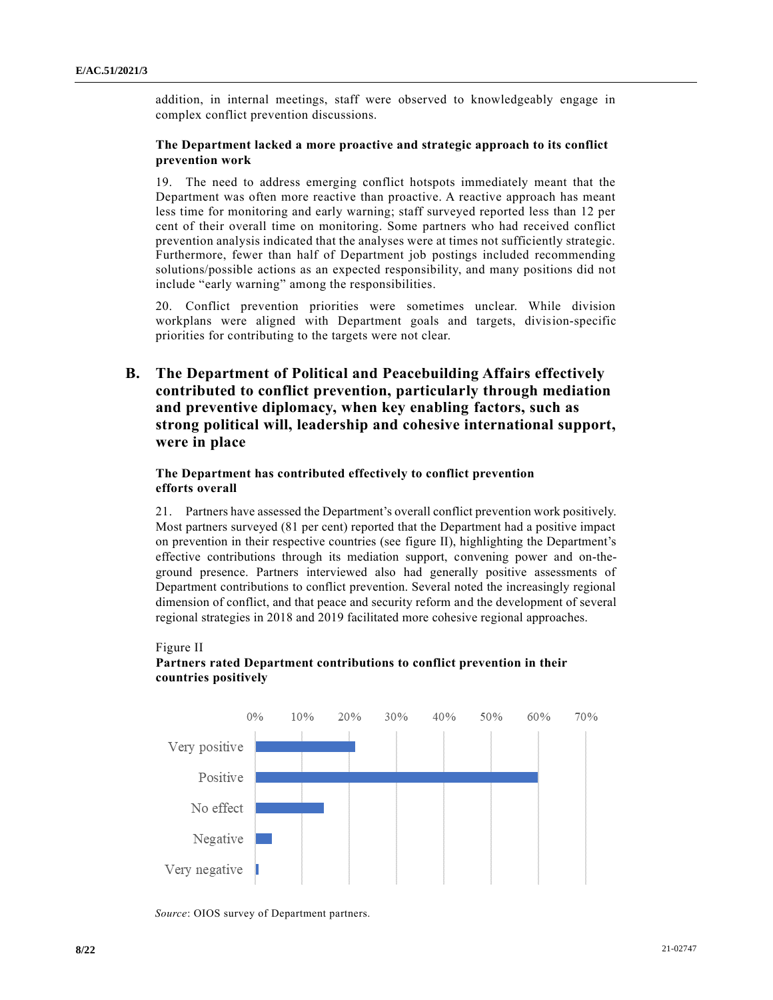addition, in internal meetings, staff were observed to knowledgeably engage in complex conflict prevention discussions.

#### **The Department lacked a more proactive and strategic approach to its conflict prevention work**

19. The need to address emerging conflict hotspots immediately meant that the Department was often more reactive than proactive. A reactive approach has meant less time for monitoring and early warning; staff surveyed reported less than 12 per cent of their overall time on monitoring. Some partners who had received conflict prevention analysis indicated that the analyses were at times not sufficiently strategic. Furthermore, fewer than half of Department job postings included recommending solutions/possible actions as an expected responsibility, and many positions did not include "early warning" among the responsibilities.

20. Conflict prevention priorities were sometimes unclear. While division workplans were aligned with Department goals and targets, division-specific priorities for contributing to the targets were not clear.

## **B. The Department of Political and Peacebuilding Affairs effectively contributed to conflict prevention, particularly through mediation and preventive diplomacy, when key enabling factors, such as strong political will, leadership and cohesive international support, were in place**

#### **The Department has contributed effectively to conflict prevention efforts overall**

21. Partners have assessed the Department's overall conflict prevention work positively. Most partners surveyed (81 per cent) reported that the Department had a positive impact on prevention in their respective countries (see figure II), highlighting the Department's effective contributions through its mediation support, convening power and on-theground presence. Partners interviewed also had generally positive assessments of Department contributions to conflict prevention. Several noted the increasingly regional dimension of conflict, and that peace and security reform and the development of several regional strategies in 2018 and 2019 facilitated more cohesive regional approaches.



## **Partners rated Department contributions to conflict prevention in their countries positively**



*Source*: OIOS survey of Department partners.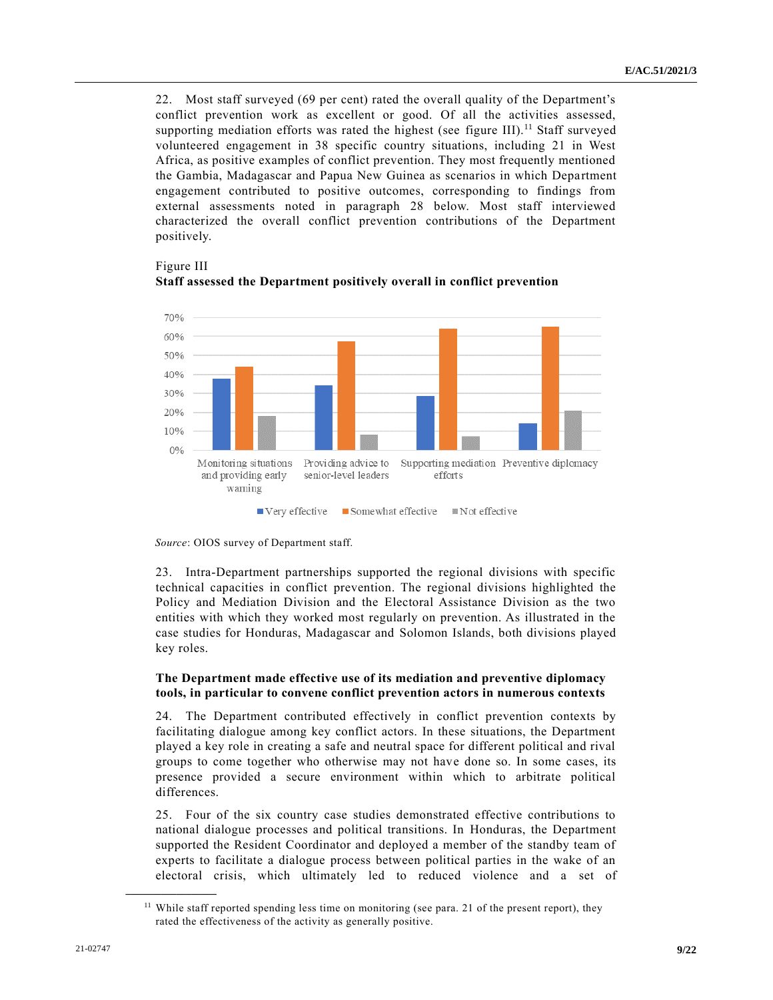22. Most staff surveyed (69 per cent) rated the overall quality of the Department's conflict prevention work as excellent or good. Of all the activities assessed, supporting mediation efforts was rated the highest (see figure III).<sup>11</sup> Staff surveyed volunteered engagement in 38 specific country situations, including 21 in West Africa, as positive examples of conflict prevention. They most frequently mentioned the Gambia, Madagascar and Papua New Guinea as scenarios in which Department engagement contributed to positive outcomes, corresponding to findings from external assessments noted in paragraph 28 below. Most staff interviewed characterized the overall conflict prevention contributions of the Department positively.



Figure III **Staff assessed the Department positively overall in conflict prevention**

23. Intra-Department partnerships supported the regional divisions with specific technical capacities in conflict prevention. The regional divisions highlighted the Policy and Mediation Division and the Electoral Assistance Division as the two entities with which they worked most regularly on prevention. As illustrated in the case studies for Honduras, Madagascar and Solomon Islands, both divisions played key roles.

#### **The Department made effective use of its mediation and preventive diplomacy tools, in particular to convene conflict prevention actors in numerous contexts**

24. The Department contributed effectively in conflict prevention contexts by facilitating dialogue among key conflict actors. In these situations, the Department played a key role in creating a safe and neutral space for different political and rival groups to come together who otherwise may not have done so. In some cases, its presence provided a secure environment within which to arbitrate political differences.

25. Four of the six country case studies demonstrated effective contributions to national dialogue processes and political transitions. In Honduras, the Department supported the Resident Coordinator and deployed a member of the standby team of experts to facilitate a dialogue process between political parties in the wake of an electoral crisis, which ultimately led to reduced violence and a set of

*Source*: OIOS survey of Department staff.

<sup>&</sup>lt;sup>11</sup> While staff reported spending less time on monitoring (see para. 21 of the present report), they rated the effectiveness of the activity as generally positive.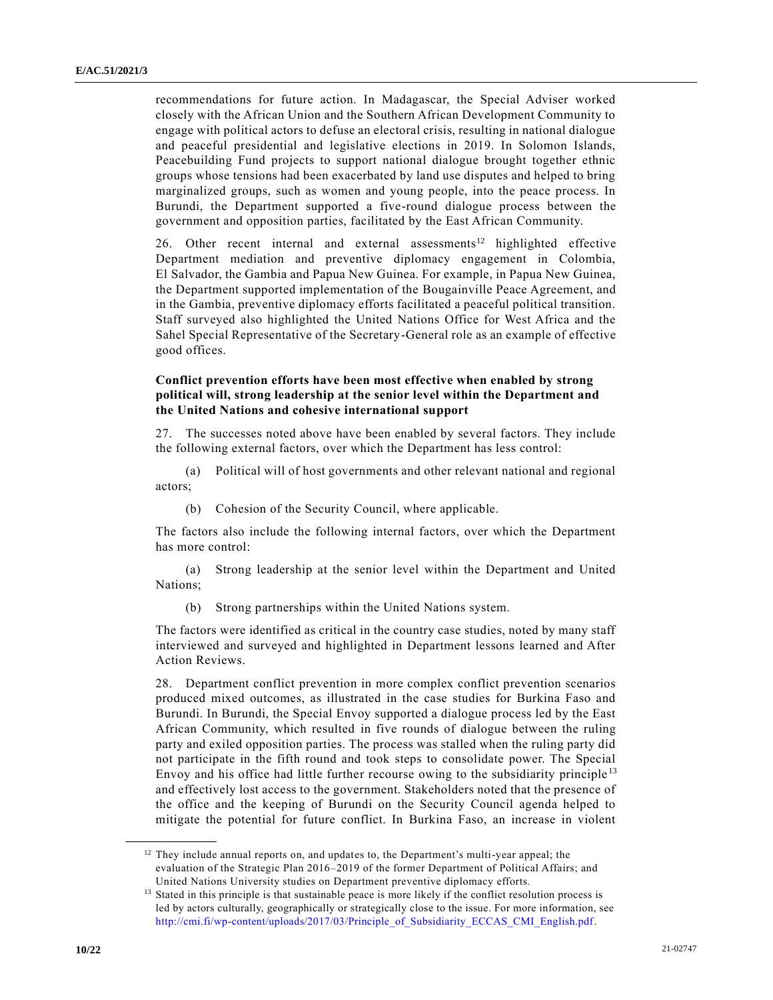recommendations for future action. In Madagascar, the Special Adviser worked closely with the African Union and the Southern African Development Community to engage with political actors to defuse an electoral crisis, resulting in national dialogue and peaceful presidential and legislative elections in 2019. In Solomon Islands, Peacebuilding Fund projects to support national dialogue brought together ethnic groups whose tensions had been exacerbated by land use disputes and helped to bring marginalized groups, such as women and young people, into the peace process. In Burundi, the Department supported a five-round dialogue process between the government and opposition parties, facilitated by the East African Community.

26. Other recent internal and external assessments<sup>12</sup> highlighted effective Department mediation and preventive diplomacy engagement in Colombia, El Salvador, the Gambia and Papua New Guinea. For example, in Papua New Guinea, the Department supported implementation of the Bougainville Peace Agreement, and in the Gambia, preventive diplomacy efforts facilitated a peaceful political transition. Staff surveyed also highlighted the United Nations Office for West Africa and the Sahel Special Representative of the Secretary-General role as an example of effective good offices.

#### **Conflict prevention efforts have been most effective when enabled by strong political will, strong leadership at the senior level within the Department and the United Nations and cohesive international support**

27. The successes noted above have been enabled by several factors. They include the following external factors, over which the Department has less control:

(a) Political will of host governments and other relevant national and regional actors;

(b) Cohesion of the Security Council, where applicable.

The factors also include the following internal factors, over which the Department has more control:

(a) Strong leadership at the senior level within the Department and United Nations;

(b) Strong partnerships within the United Nations system.

The factors were identified as critical in the country case studies, noted by many staff interviewed and surveyed and highlighted in Department lessons learned and After Action Reviews.

28. Department conflict prevention in more complex conflict prevention scenarios produced mixed outcomes, as illustrated in the case studies for Burkina Faso and Burundi. In Burundi, the Special Envoy supported a dialogue process led by the East African Community, which resulted in five rounds of dialogue between the ruling party and exiled opposition parties. The process was stalled when the ruling party did not participate in the fifth round and took steps to consolidate power. The Special Envoy and his office had little further recourse owing to the subsidiarity principle <sup>13</sup> and effectively lost access to the government. Stakeholders noted that the presence of the office and the keeping of Burundi on the Security Council agenda helped to mitigate the potential for future conflict. In Burkina Faso, an increase in violent

<sup>&</sup>lt;sup>12</sup> They include annual reports on, and updates to, the Department's multi-year appeal; the evaluation of the Strategic Plan 2016–2019 of the former Department of Political Affairs; and United Nations University studies on Department preventive diplomacy efforts.

<sup>&</sup>lt;sup>13</sup> Stated in this principle is that sustainable peace is more likely if the conflict resolution process is led by actors culturally, geographically or strategically close to the issue. For more information, see [http://cmi.fi/wp-content/uploads/2017/03/Principle\\_of\\_Subsidiarity\\_ECCAS\\_CMI\\_English.pdf.](http://cmi.fi/wp-content/uploads/2017/03/Principle_of_Subsidiarity_ECCAS_CMI_English.pdf)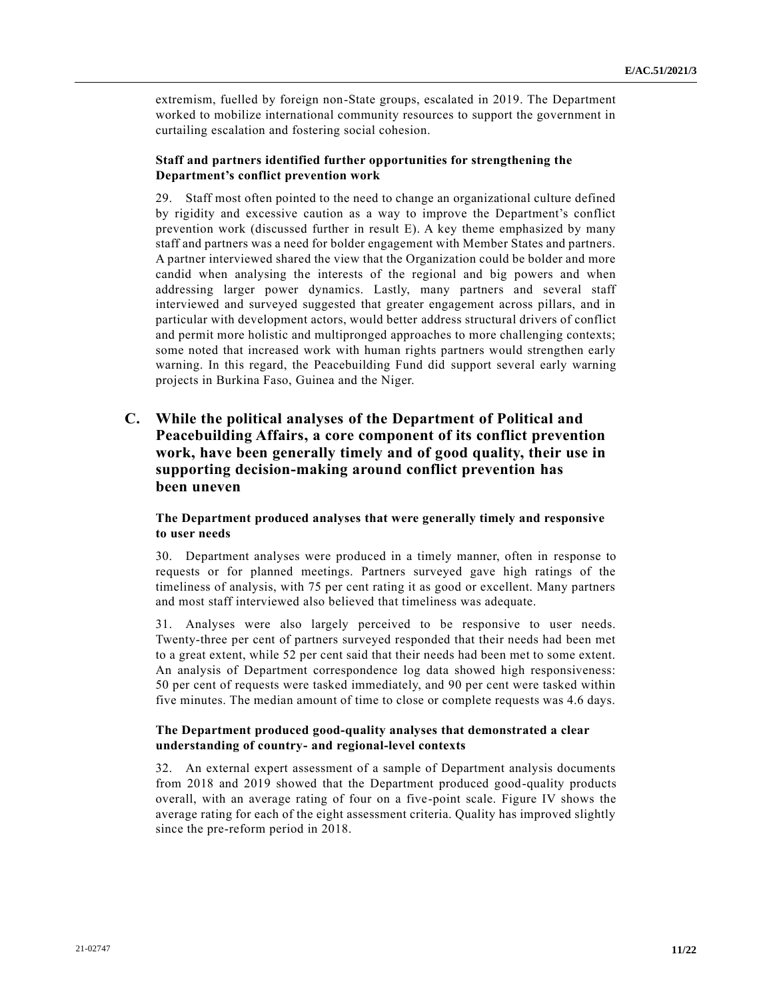extremism, fuelled by foreign non-State groups, escalated in 2019. The Department worked to mobilize international community resources to support the government in curtailing escalation and fostering social cohesion.

#### **Staff and partners identified further opportunities for strengthening the Department's conflict prevention work**

29. Staff most often pointed to the need to change an organizational culture defined by rigidity and excessive caution as a way to improve the Department's conflict prevention work (discussed further in result E). A key theme emphasized by many staff and partners was a need for bolder engagement with Member States and partners. A partner interviewed shared the view that the Organization could be bolder and more candid when analysing the interests of the regional and big powers and when addressing larger power dynamics. Lastly, many partners and several staff interviewed and surveyed suggested that greater engagement across pillars, and in particular with development actors, would better address structural drivers of conflict and permit more holistic and multipronged approaches to more challenging contexts; some noted that increased work with human rights partners would strengthen early warning. In this regard, the Peacebuilding Fund did support several early warning projects in Burkina Faso, Guinea and the Niger.

## **C. While the political analyses of the Department of Political and Peacebuilding Affairs, a core component of its conflict prevention work, have been generally timely and of good quality, their use in supporting decision-making around conflict prevention has been uneven**

#### **The Department produced analyses that were generally timely and responsive to user needs**

30. Department analyses were produced in a timely manner, often in response to requests or for planned meetings. Partners surveyed gave high ratings of the timeliness of analysis, with 75 per cent rating it as good or excellent. Many partners and most staff interviewed also believed that timeliness was adequate.

31. Analyses were also largely perceived to be responsive to user needs. Twenty-three per cent of partners surveyed responded that their needs had been met to a great extent, while 52 per cent said that their needs had been met to some extent. An analysis of Department correspondence log data showed high responsiveness: 50 per cent of requests were tasked immediately, and 90 per cent were tasked within five minutes. The median amount of time to close or complete requests was 4.6 days.

#### **The Department produced good-quality analyses that demonstrated a clear understanding of country- and regional-level contexts**

32. An external expert assessment of a sample of Department analysis documents from 2018 and 2019 showed that the Department produced good-quality products overall, with an average rating of four on a five-point scale. Figure IV shows the average rating for each of the eight assessment criteria. Quality has improved slightly since the pre-reform period in 2018.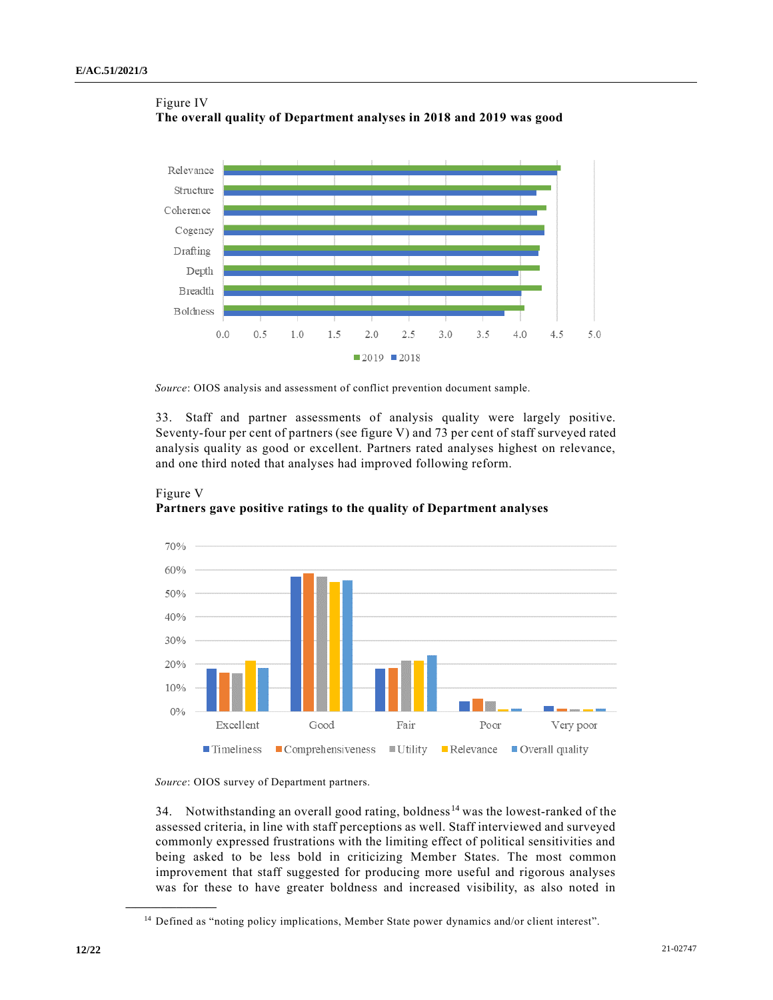

Figure IV **The overall quality of Department analyses in 2018 and 2019 was good**

*Source*: OIOS analysis and assessment of conflict prevention document sample.

33. Staff and partner assessments of analysis quality were largely positive. Seventy-four per cent of partners (see figure V) and 73 per cent of staff surveyed rated analysis quality as good or excellent. Partners rated analyses highest on relevance, and one third noted that analyses had improved following reform.





*Source*: OIOS survey of Department partners.

34. Notwithstanding an overall good rating, boldness <sup>14</sup> was the lowest-ranked of the assessed criteria, in line with staff perceptions as well. Staff interviewed and surveyed commonly expressed frustrations with the limiting effect of political sensitivities and being asked to be less bold in criticizing Member States. The most common improvement that staff suggested for producing more useful and rigorous analyses was for these to have greater boldness and increased visibility, as also noted in

<sup>14</sup> Defined as "noting policy implications, Member State power dynamics and/or client interest".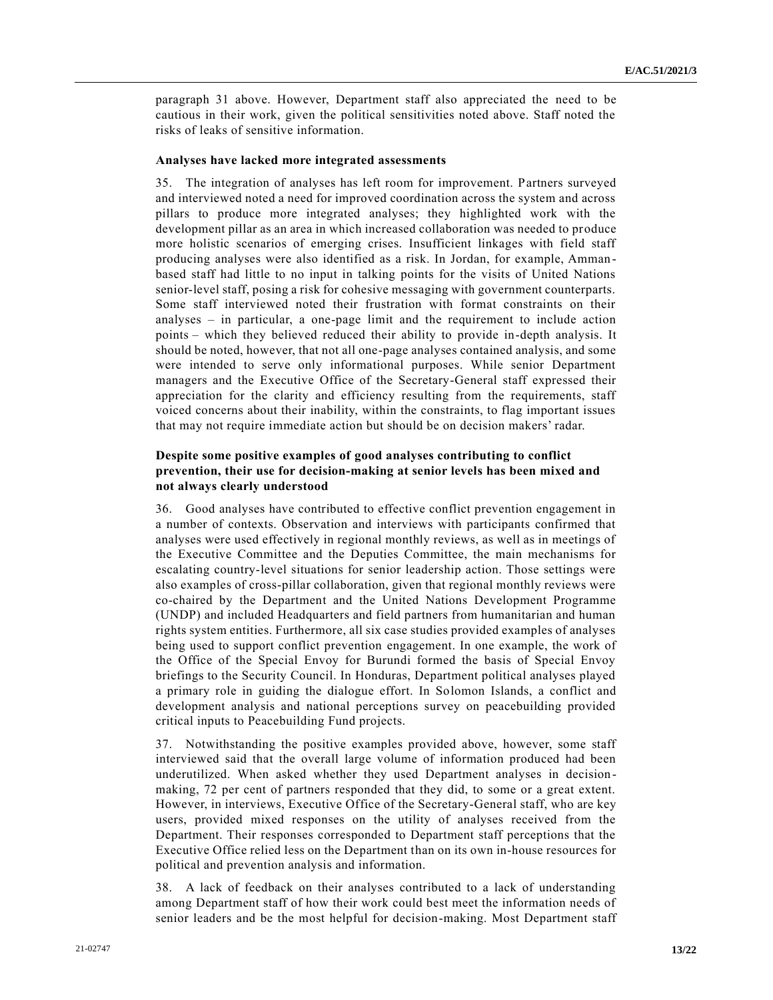paragraph 31 above. However, Department staff also appreciated the need to be cautious in their work, given the political sensitivities noted above. Staff noted the risks of leaks of sensitive information.

#### **Analyses have lacked more integrated assessments**

35. The integration of analyses has left room for improvement. Partners surveyed and interviewed noted a need for improved coordination across the system and across pillars to produce more integrated analyses; they highlighted work with the development pillar as an area in which increased collaboration was needed to produce more holistic scenarios of emerging crises. Insufficient linkages with field staff producing analyses were also identified as a risk. In Jordan, for example, Amman based staff had little to no input in talking points for the visits of United Nations senior-level staff, posing a risk for cohesive messaging with government counterparts. Some staff interviewed noted their frustration with format constraints on their analyses – in particular, a one-page limit and the requirement to include action points – which they believed reduced their ability to provide in-depth analysis. It should be noted, however, that not all one-page analyses contained analysis, and some were intended to serve only informational purposes. While senior Department managers and the Executive Office of the Secretary-General staff expressed their appreciation for the clarity and efficiency resulting from the requirements, staff voiced concerns about their inability, within the constraints, to flag important issues that may not require immediate action but should be on decision makers' radar.

#### **Despite some positive examples of good analyses contributing to conflict prevention, their use for decision-making at senior levels has been mixed and not always clearly understood**

36. Good analyses have contributed to effective conflict prevention engagement in a number of contexts. Observation and interviews with participants confirmed that analyses were used effectively in regional monthly reviews, as well as in meetings of the Executive Committee and the Deputies Committee, the main mechanisms for escalating country-level situations for senior leadership action. Those settings were also examples of cross-pillar collaboration, given that regional monthly reviews were co-chaired by the Department and the United Nations Development Programme (UNDP) and included Headquarters and field partners from humanitarian and human rights system entities. Furthermore, all six case studies provided examples of analyses being used to support conflict prevention engagement. In one example, the work of the Office of the Special Envoy for Burundi formed the basis of Special Envoy briefings to the Security Council. In Honduras, Department political analyses played a primary role in guiding the dialogue effort. In Solomon Islands, a conflict and development analysis and national perceptions survey on peacebuilding provided critical inputs to Peacebuilding Fund projects.

37. Notwithstanding the positive examples provided above, however, some staff interviewed said that the overall large volume of information produced had been underutilized. When asked whether they used Department analyses in decision making, 72 per cent of partners responded that they did, to some or a great extent. However, in interviews, Executive Office of the Secretary-General staff, who are key users, provided mixed responses on the utility of analyses received from the Department. Their responses corresponded to Department staff perceptions that the Executive Office relied less on the Department than on its own in-house resources for political and prevention analysis and information.

38. A lack of feedback on their analyses contributed to a lack of understanding among Department staff of how their work could best meet the information needs of senior leaders and be the most helpful for decision-making. Most Department staff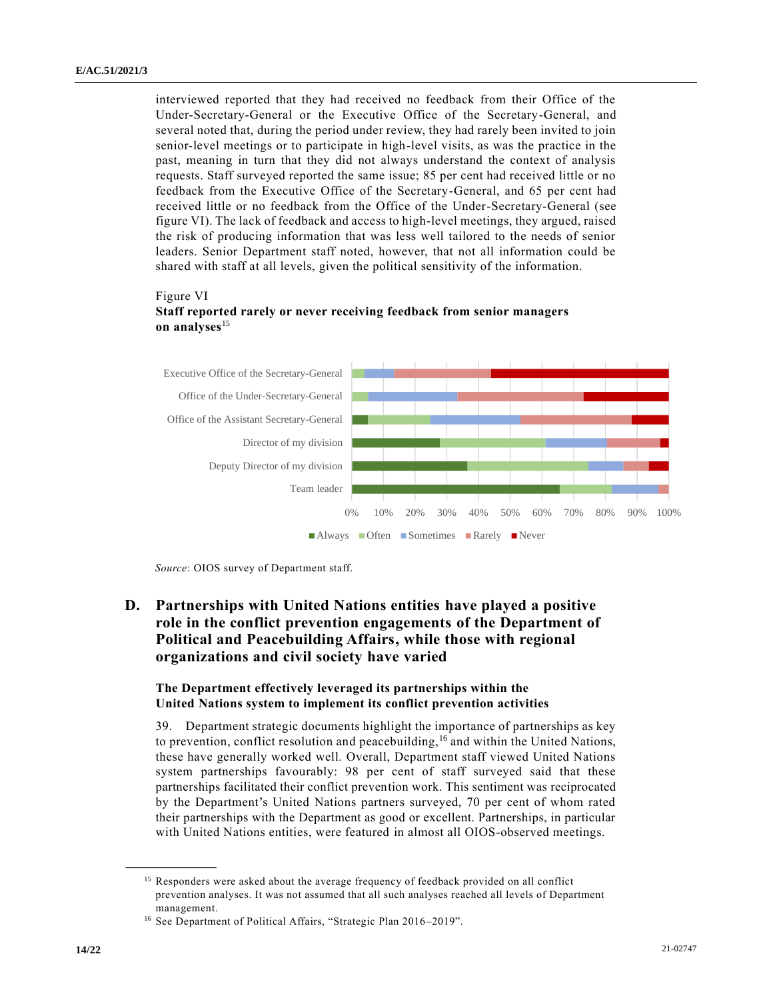interviewed reported that they had received no feedback from their Office of the Under-Secretary-General or the Executive Office of the Secretary-General, and several noted that, during the period under review, they had rarely been invited to join senior-level meetings or to participate in high-level visits, as was the practice in the past, meaning in turn that they did not always understand the context of analysis requests. Staff surveyed reported the same issue; 85 per cent had received little or no feedback from the Executive Office of the Secretary-General, and 65 per cent had received little or no feedback from the Office of the Under-Secretary-General (see figure VI). The lack of feedback and access to high-level meetings, they argued, raised the risk of producing information that was less well tailored to the needs of senior leaders. Senior Department staff noted, however, that not all information could be shared with staff at all levels, given the political sensitivity of the information.

#### Figure VI

#### **Staff reported rarely or never receiving feedback from senior managers on analyses**<sup>15</sup>



*Source*: OIOS survey of Department staff.

## **D. Partnerships with United Nations entities have played a positive role in the conflict prevention engagements of the Department of Political and Peacebuilding Affairs, while those with regional organizations and civil society have varied**

#### **The Department effectively leveraged its partnerships within the United Nations system to implement its conflict prevention activities**

39. Department strategic documents highlight the importance of partnerships as key to prevention, conflict resolution and peacebuilding,  $^{16}$  and within the United Nations, these have generally worked well. Overall, Department staff viewed United Nations system partnerships favourably: 98 per cent of staff surveyed said that these partnerships facilitated their conflict prevention work. This sentiment was reciprocated by the Department's United Nations partners surveyed, 70 per cent of whom rated their partnerships with the Department as good or excellent. Partnerships, in particular with United Nations entities, were featured in almost all OIOS-observed meetings.

<sup>&</sup>lt;sup>15</sup> Responders were asked about the average frequency of feedback provided on all conflict prevention analyses. It was not assumed that all such analyses reached all levels of Department management.

<sup>&</sup>lt;sup>16</sup> See Department of Political Affairs, "Strategic Plan 2016-2019".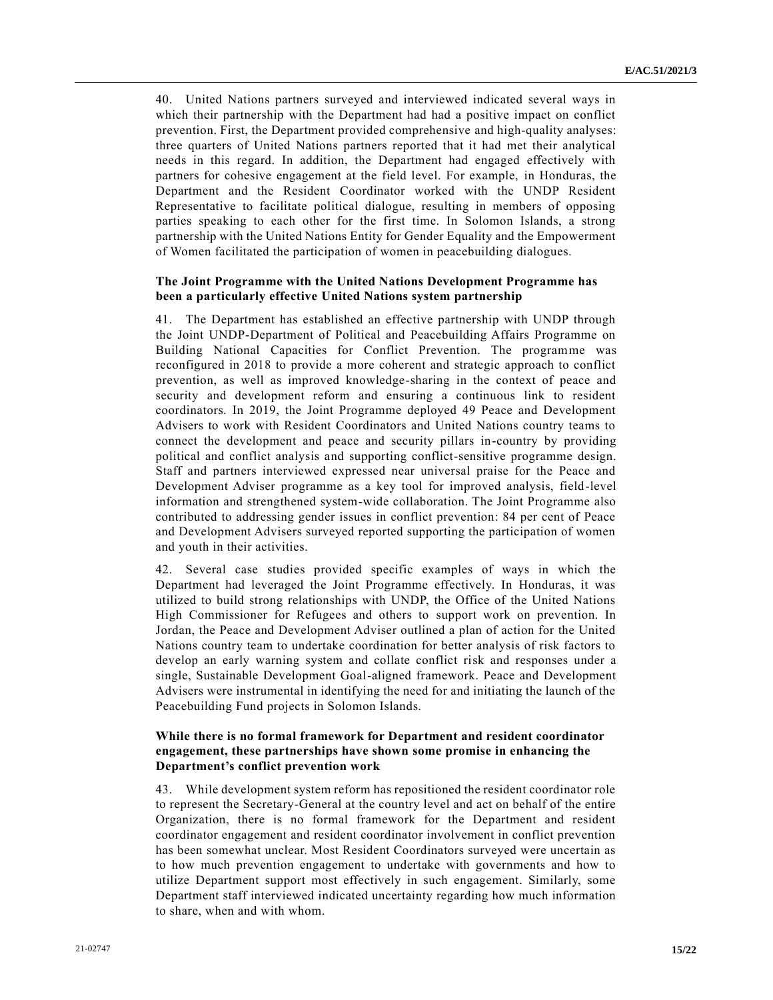40. United Nations partners surveyed and interviewed indicated several ways in which their partnership with the Department had had a positive impact on conflict prevention. First, the Department provided comprehensive and high-quality analyses: three quarters of United Nations partners reported that it had met their analytical needs in this regard. In addition, the Department had engaged effectively with partners for cohesive engagement at the field level. For example, in Honduras, the Department and the Resident Coordinator worked with the UNDP Resident Representative to facilitate political dialogue, resulting in members of opposing parties speaking to each other for the first time. In Solomon Islands, a strong partnership with the United Nations Entity for Gender Equality and the Empowerment of Women facilitated the participation of women in peacebuilding dialogues.

#### **The Joint Programme with the United Nations Development Programme has been a particularly effective United Nations system partnership**

41. The Department has established an effective partnership with UNDP through the Joint UNDP-Department of Political and Peacebuilding Affairs Programme on Building National Capacities for Conflict Prevention. The programme was reconfigured in 2018 to provide a more coherent and strategic approach to conflict prevention, as well as improved knowledge-sharing in the context of peace and security and development reform and ensuring a continuous link to resident coordinators. In 2019, the Joint Programme deployed 49 Peace and Development Advisers to work with Resident Coordinators and United Nations country teams to connect the development and peace and security pillars in-country by providing political and conflict analysis and supporting conflict-sensitive programme design. Staff and partners interviewed expressed near universal praise for the Peace and Development Adviser programme as a key tool for improved analysis, field-level information and strengthened system-wide collaboration. The Joint Programme also contributed to addressing gender issues in conflict prevention: 84 per cent of Peace and Development Advisers surveyed reported supporting the participation of women and youth in their activities.

42. Several case studies provided specific examples of ways in which the Department had leveraged the Joint Programme effectively. In Honduras, it was utilized to build strong relationships with UNDP, the Office of the United Nations High Commissioner for Refugees and others to support work on prevention. In Jordan, the Peace and Development Adviser outlined a plan of action for the United Nations country team to undertake coordination for better analysis of risk factors to develop an early warning system and collate conflict risk and responses under a single, Sustainable Development Goal-aligned framework. Peace and Development Advisers were instrumental in identifying the need for and initiating the launch of the Peacebuilding Fund projects in Solomon Islands.

#### **While there is no formal framework for Department and resident coordinator engagement, these partnerships have shown some promise in enhancing the Department's conflict prevention work**

43. While development system reform has repositioned the resident coordinator role to represent the Secretary-General at the country level and act on behalf of the entire Organization, there is no formal framework for the Department and resident coordinator engagement and resident coordinator involvement in conflict prevention has been somewhat unclear. Most Resident Coordinators surveyed were uncertain as to how much prevention engagement to undertake with governments and how to utilize Department support most effectively in such engagement. Similarly, some Department staff interviewed indicated uncertainty regarding how much information to share, when and with whom.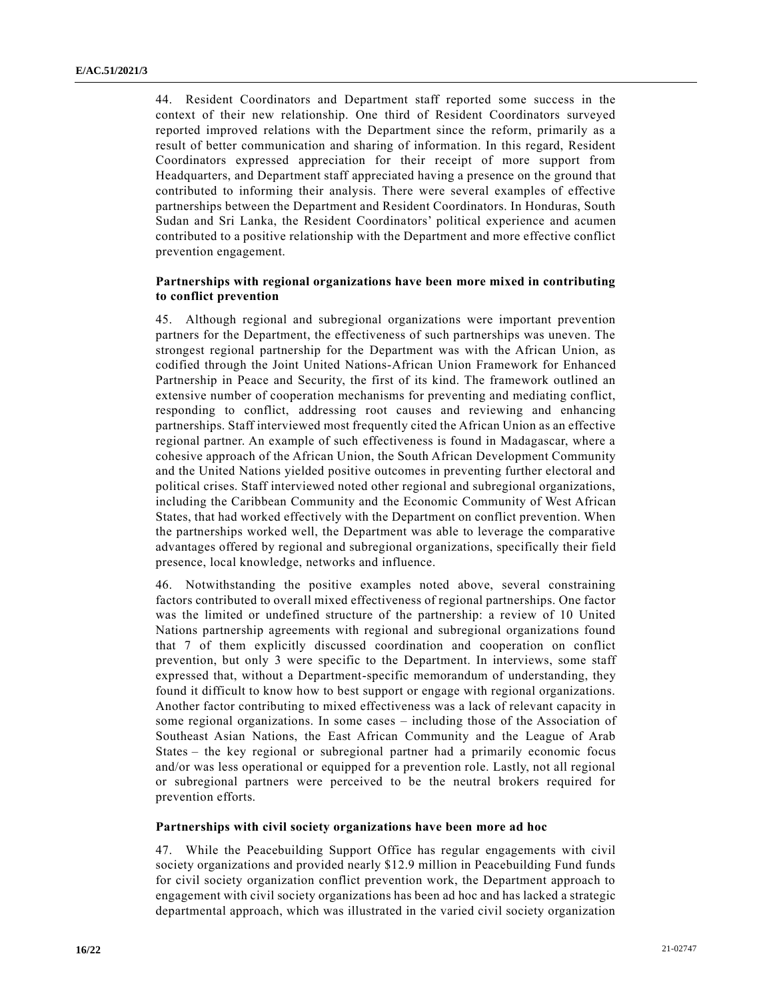44. Resident Coordinators and Department staff reported some success in the context of their new relationship. One third of Resident Coordinators surveyed reported improved relations with the Department since the reform, primarily as a result of better communication and sharing of information. In this regard, Resident Coordinators expressed appreciation for their receipt of more support from Headquarters, and Department staff appreciated having a presence on the ground that contributed to informing their analysis. There were several examples of effective partnerships between the Department and Resident Coordinators. In Honduras, South Sudan and Sri Lanka, the Resident Coordinators' political experience and acumen contributed to a positive relationship with the Department and more effective conflict prevention engagement.

#### **Partnerships with regional organizations have been more mixed in contributing to conflict prevention**

45. Although regional and subregional organizations were important prevention partners for the Department, the effectiveness of such partnerships was uneven. The strongest regional partnership for the Department was with the African Union, as codified through the Joint United Nations-African Union Framework for Enhanced Partnership in Peace and Security, the first of its kind. The framework outlined an extensive number of cooperation mechanisms for preventing and mediating conflict, responding to conflict, addressing root causes and reviewing and enhancing partnerships. Staff interviewed most frequently cited the African Union as an effective regional partner. An example of such effectiveness is found in Madagascar, where a cohesive approach of the African Union, the South African Development Community and the United Nations yielded positive outcomes in preventing further electoral and political crises. Staff interviewed noted other regional and subregional organizations, including the Caribbean Community and the Economic Community of West African States, that had worked effectively with the Department on conflict prevention. When the partnerships worked well, the Department was able to leverage the comparative advantages offered by regional and subregional organizations, specifically their field presence, local knowledge, networks and influence.

46. Notwithstanding the positive examples noted above, several constraining factors contributed to overall mixed effectiveness of regional partnerships. One factor was the limited or undefined structure of the partnership: a review of 10 United Nations partnership agreements with regional and subregional organizations found that 7 of them explicitly discussed coordination and cooperation on conflict prevention, but only 3 were specific to the Department. In interviews, some staff expressed that, without a Department-specific memorandum of understanding, they found it difficult to know how to best support or engage with regional organizations. Another factor contributing to mixed effectiveness was a lack of relevant capacity in some regional organizations. In some cases – including those of the Association of Southeast Asian Nations, the East African Community and the League of Arab States – the key regional or subregional partner had a primarily economic focus and/or was less operational or equipped for a prevention role. Lastly, not all regional or subregional partners were perceived to be the neutral brokers required for prevention efforts.

#### **Partnerships with civil society organizations have been more ad hoc**

47. While the Peacebuilding Support Office has regular engagements with civil society organizations and provided nearly \$12.9 million in Peacebuilding Fund funds for civil society organization conflict prevention work, the Department approach to engagement with civil society organizations has been ad hoc and has lacked a strategic departmental approach, which was illustrated in the varied civil society organization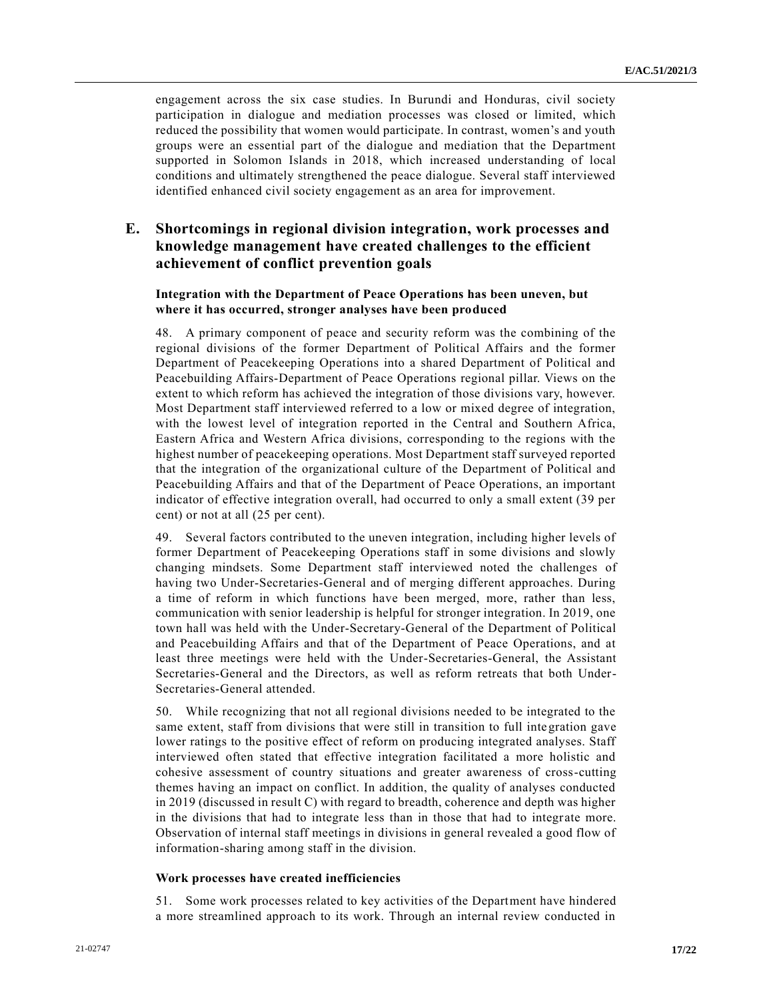engagement across the six case studies. In Burundi and Honduras, civil society participation in dialogue and mediation processes was closed or limited, which reduced the possibility that women would participate. In contrast, women's and youth groups were an essential part of the dialogue and mediation that the Department supported in Solomon Islands in 2018, which increased understanding of local conditions and ultimately strengthened the peace dialogue. Several staff interviewed identified enhanced civil society engagement as an area for improvement.

## **E. Shortcomings in regional division integration, work processes and knowledge management have created challenges to the efficient achievement of conflict prevention goals**

#### **Integration with the Department of Peace Operations has been uneven, but where it has occurred, stronger analyses have been produced**

48. A primary component of peace and security reform was the combining of the regional divisions of the former Department of Political Affairs and the former Department of Peacekeeping Operations into a shared Department of Political and Peacebuilding Affairs-Department of Peace Operations regional pillar. Views on the extent to which reform has achieved the integration of those divisions vary, however. Most Department staff interviewed referred to a low or mixed degree of integration, with the lowest level of integration reported in the Central and Southern Africa, Eastern Africa and Western Africa divisions, corresponding to the regions with the highest number of peacekeeping operations. Most Department staff surveyed reported that the integration of the organizational culture of the Department of Political and Peacebuilding Affairs and that of the Department of Peace Operations, an important indicator of effective integration overall, had occurred to only a small extent (39 per cent) or not at all (25 per cent).

49. Several factors contributed to the uneven integration, including higher levels of former Department of Peacekeeping Operations staff in some divisions and slowly changing mindsets. Some Department staff interviewed noted the challenges of having two Under-Secretaries-General and of merging different approaches. During a time of reform in which functions have been merged, more, rather than less, communication with senior leadership is helpful for stronger integration. In 2019, one town hall was held with the Under-Secretary-General of the Department of Political and Peacebuilding Affairs and that of the Department of Peace Operations, and at least three meetings were held with the Under-Secretaries-General, the Assistant Secretaries-General and the Directors, as well as reform retreats that both Under-Secretaries-General attended.

50. While recognizing that not all regional divisions needed to be integrated to the same extent, staff from divisions that were still in transition to full integration gave lower ratings to the positive effect of reform on producing integrated analyses. Staff interviewed often stated that effective integration facilitated a more holistic and cohesive assessment of country situations and greater awareness of cross-cutting themes having an impact on conflict. In addition, the quality of analyses conducted in 2019 (discussed in result C) with regard to breadth, coherence and depth was higher in the divisions that had to integrate less than in those that had to integrate more. Observation of internal staff meetings in divisions in general revealed a good flow of information-sharing among staff in the division.

#### **Work processes have created inefficiencies**

51. Some work processes related to key activities of the Department have hindered a more streamlined approach to its work. Through an internal review conducted in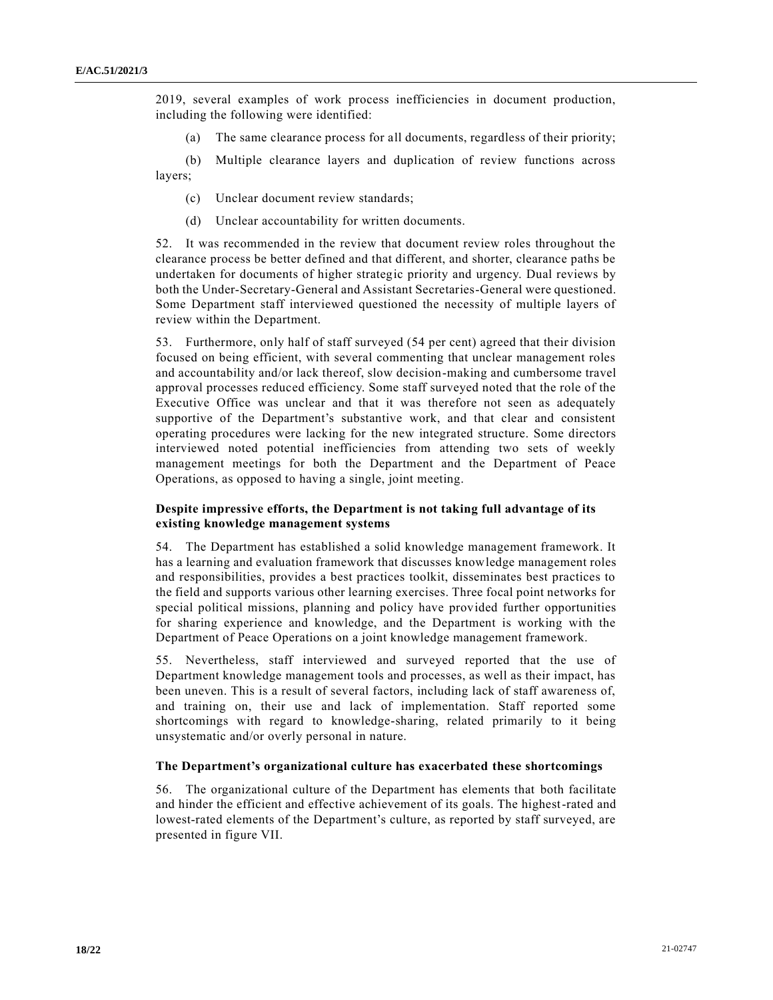2019, several examples of work process inefficiencies in document production, including the following were identified:

(a) The same clearance process for all documents, regardless of their priority;

(b) Multiple clearance layers and duplication of review functions across layers;

- (c) Unclear document review standards;
- (d) Unclear accountability for written documents.

52. It was recommended in the review that document review roles throughout the clearance process be better defined and that different, and shorter, clearance paths be undertaken for documents of higher strategic priority and urgency. Dual reviews by both the Under-Secretary-General and Assistant Secretaries-General were questioned. Some Department staff interviewed questioned the necessity of multiple layers of review within the Department.

53. Furthermore, only half of staff surveyed (54 per cent) agreed that their division focused on being efficient, with several commenting that unclear management roles and accountability and/or lack thereof, slow decision-making and cumbersome travel approval processes reduced efficiency. Some staff surveyed noted that the role of the Executive Office was unclear and that it was therefore not seen as adequately supportive of the Department's substantive work, and that clear and consistent operating procedures were lacking for the new integrated structure. Some directors interviewed noted potential inefficiencies from attending two sets of weekly management meetings for both the Department and the Department of Peace Operations, as opposed to having a single, joint meeting.

#### **Despite impressive efforts, the Department is not taking full advantage of its existing knowledge management systems**

54. The Department has established a solid knowledge management framework. It has a learning and evaluation framework that discusses knowledge management roles and responsibilities, provides a best practices toolkit, disseminates best practices to the field and supports various other learning exercises. Three focal point networks for special political missions, planning and policy have provided further opportunities for sharing experience and knowledge, and the Department is working with the Department of Peace Operations on a joint knowledge management framework.

55. Nevertheless, staff interviewed and surveyed reported that the use of Department knowledge management tools and processes, as well as their impact, has been uneven. This is a result of several factors, including lack of staff awareness of, and training on, their use and lack of implementation. Staff reported some shortcomings with regard to knowledge-sharing, related primarily to it being unsystematic and/or overly personal in nature.

#### **The Department's organizational culture has exacerbated these shortcomings**

56. The organizational culture of the Department has elements that both facilitate and hinder the efficient and effective achievement of its goals. The highest-rated and lowest-rated elements of the Department's culture, as reported by staff surveyed, are presented in figure VII.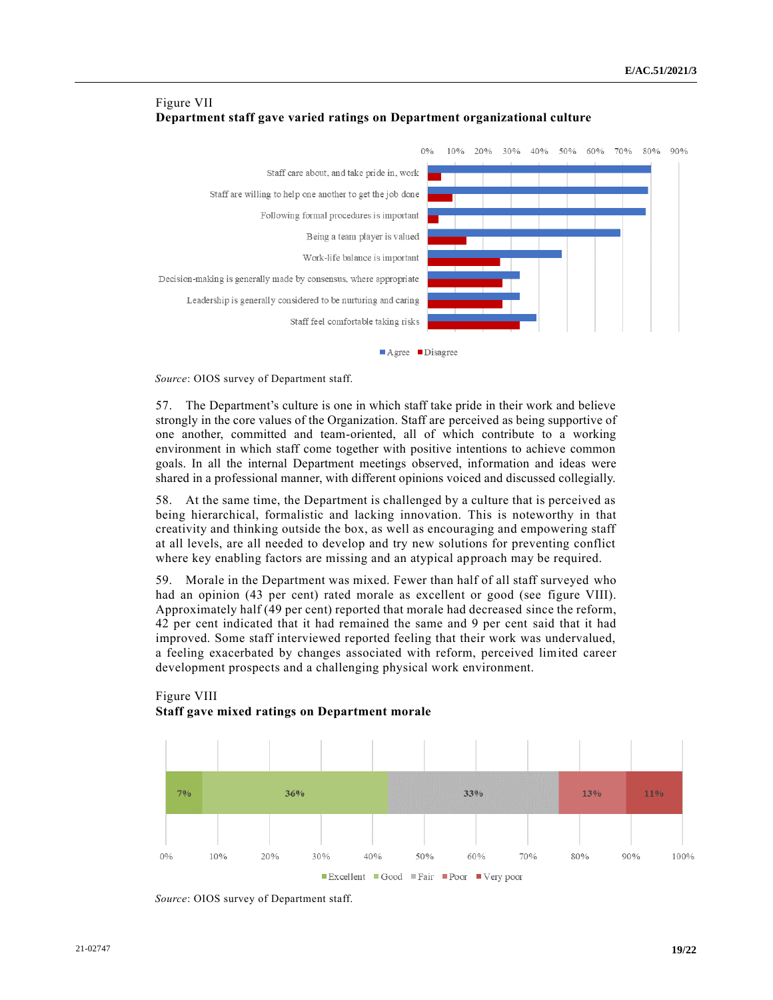

### Figure VII **Department staff gave varied ratings on Department organizational culture**

■ Agree ■ Disagree

*Source*: OIOS survey of Department staff.

57. The Department's culture is one in which staff take pride in their work and believe strongly in the core values of the Organization. Staff are perceived as being supportive of one another, committed and team-oriented, all of which contribute to a working environment in which staff come together with positive intentions to achieve common goals. In all the internal Department meetings observed, information and ideas were shared in a professional manner, with different opinions voiced and discussed collegially.

58. At the same time, the Department is challenged by a culture that is perceived as being hierarchical, formalistic and lacking innovation. This is noteworthy in that creativity and thinking outside the box, as well as encouraging and empowering staff at all levels, are all needed to develop and try new solutions for preventing conflict where key enabling factors are missing and an atypical approach may be required.

59. Morale in the Department was mixed. Fewer than half of all staff surveyed who had an opinion (43 per cent) rated morale as excellent or good (see figure VIII). Approximately half (49 per cent) reported that morale had decreased since the reform, 42 per cent indicated that it had remained the same and 9 per cent said that it had improved. Some staff interviewed reported feeling that their work was undervalued, a feeling exacerbated by changes associated with reform, perceived limited career development prospects and a challenging physical work environment.

### Figure VIII **Staff gave mixed ratings on Department morale**



*Source*: OIOS survey of Department staff.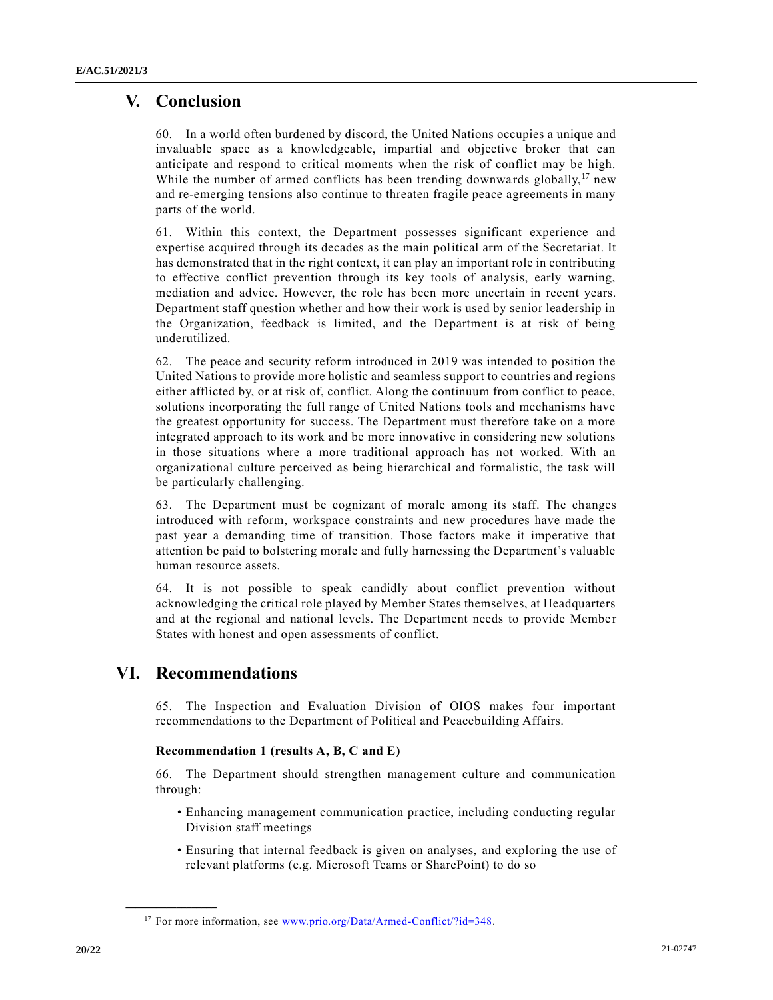# **V. Conclusion**

60. In a world often burdened by discord, the United Nations occupies a unique and invaluable space as a knowledgeable, impartial and objective broker that can anticipate and respond to critical moments when the risk of conflict may be high. While the number of armed conflicts has been trending downwards globally,  $17$  new and re-emerging tensions also continue to threaten fragile peace agreements in many parts of the world.

61. Within this context, the Department possesses significant experience and expertise acquired through its decades as the main political arm of the Secretariat. It has demonstrated that in the right context, it can play an important role in contributing to effective conflict prevention through its key tools of analysis, early warning, mediation and advice. However, the role has been more uncertain in recent years. Department staff question whether and how their work is used by senior leadership in the Organization, feedback is limited, and the Department is at risk of being underutilized.

62. The peace and security reform introduced in 2019 was intended to position the United Nations to provide more holistic and seamless support to countries and regions either afflicted by, or at risk of, conflict. Along the continuum from conflict to peace, solutions incorporating the full range of United Nations tools and mechanisms have the greatest opportunity for success. The Department must therefore take on a more integrated approach to its work and be more innovative in considering new solutions in those situations where a more traditional approach has not worked. With an organizational culture perceived as being hierarchical and formalistic, the task will be particularly challenging.

63. The Department must be cognizant of morale among its staff. The changes introduced with reform, workspace constraints and new procedures have made the past year a demanding time of transition. Those factors make it imperative that attention be paid to bolstering morale and fully harnessing the Department's valuable human resource assets.

64. It is not possible to speak candidly about conflict prevention without acknowledging the critical role played by Member States themselves, at Headquarters and at the regional and national levels. The Department needs to provide Member States with honest and open assessments of conflict.

# **VI. Recommendations**

**\_\_\_\_\_\_\_\_\_\_\_\_\_\_\_\_\_\_**

65. The Inspection and Evaluation Division of OIOS makes four important recommendations to the Department of Political and Peacebuilding Affairs.

#### **Recommendation 1 (results A, B, C and E)**

66. The Department should strengthen management culture and communication through:

- Enhancing management communication practice, including conducting regular Division staff meetings
- Ensuring that internal feedback is given on analyses, and exploring the use of relevant platforms (e.g. Microsoft Teams or SharePoint) to do so

<sup>&</sup>lt;sup>17</sup> For more information, see [www.prio.org/Data/Armed-Conflict/?id=348.](file:///C:/Users/carla.mavrodin/Downloads/www.prio.org/Data/Armed-Conflict/%3fid=348)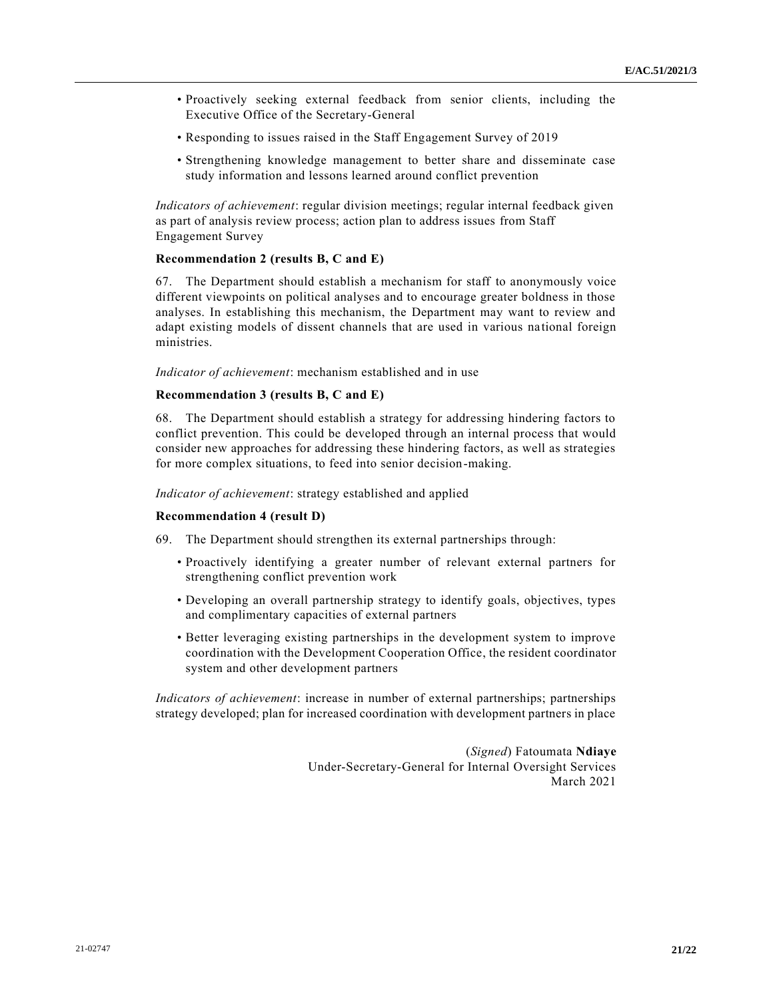- Proactively seeking external feedback from senior clients, including the Executive Office of the Secretary-General
- Responding to issues raised in the Staff Engagement Survey of 2019
- Strengthening knowledge management to better share and disseminate case study information and lessons learned around conflict prevention

*Indicators of achievement*: regular division meetings; regular internal feedback given as part of analysis review process; action plan to address issues from Staff Engagement Survey

#### **Recommendation 2 (results B, C and E)**

67. The Department should establish a mechanism for staff to anonymously voice different viewpoints on political analyses and to encourage greater boldness in those analyses. In establishing this mechanism, the Department may want to review and adapt existing models of dissent channels that are used in various na tional foreign ministries.

*Indicator of achievement*: mechanism established and in use

#### **Recommendation 3 (results B, C and E)**

68. The Department should establish a strategy for addressing hindering factors to conflict prevention. This could be developed through an internal process that would consider new approaches for addressing these hindering factors, as well as strategies for more complex situations, to feed into senior decision-making.

*Indicator of achievement*: strategy established and applied

#### **Recommendation 4 (result D)**

69. The Department should strengthen its external partnerships through:

- Proactively identifying a greater number of relevant external partners for strengthening conflict prevention work
- Developing an overall partnership strategy to identify goals, objectives, types and complimentary capacities of external partners
- Better leveraging existing partnerships in the development system to improve coordination with the Development Cooperation Office, the resident coordinator system and other development partners

*Indicators of achievement*: increase in number of external partnerships; partnerships strategy developed; plan for increased coordination with development partners in place

> (*Signed*) Fatoumata **Ndiaye** Under-Secretary-General for Internal Oversight Services March 2021